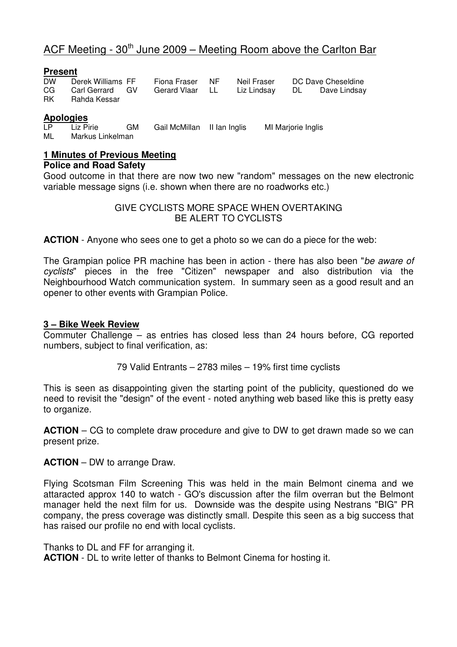# ACF Meeting -  $30<sup>th</sup>$  June  $2009$  – Meeting Room above the Carlton Bar

#### **Present**

| <b>DW</b> | Derek Williams FF | Fiona Fraser NF | Neil Fraser                                 | DC Dave Cheseldine |
|-----------|-------------------|-----------------|---------------------------------------------|--------------------|
| CG        | Carl Gerrard GV   |                 | Gerard Vlaar LL Liz Lindsay DL Dave Lindsay |                    |
| RK I      | Rahda Kessar      |                 |                                             |                    |

#### **Apologies**

LP Liz Pirie GM Gail McMillan II Ian Inglis MI Marjorie Inglis<br>ML Markus Linkelman Markus Linkelman

## **1 Minutes of Previous Meeting**

#### **Police and Road Safety**

Good outcome in that there are now two new "random" messages on the new electronic variable message signs (i.e. shown when there are no roadworks etc.)

> GIVE CYCLISTS MORE SPACE WHEN OVERTAKING BE ALERT TO CYCLISTS

**ACTION** - Anyone who sees one to get a photo so we can do a piece for the web:

The Grampian police PR machine has been in action - there has also been "be aware of cyclists" pieces in the free "Citizen" newspaper and also distribution via the Neighbourhood Watch communication system. In summary seen as a good result and an opener to other events with Grampian Police.

#### **3 – Bike Week Review**

Commuter Challenge – as entries has closed less than 24 hours before, CG reported numbers, subject to final verification, as:

79 Valid Entrants – 2783 miles – 19% first time cyclists

This is seen as disappointing given the starting point of the publicity, questioned do we need to revisit the "design" of the event - noted anything web based like this is pretty easy to organize.

**ACTION** – CG to complete draw procedure and give to DW to get drawn made so we can present prize.

**ACTION** – DW to arrange Draw.

Flying Scotsman Film Screening This was held in the main Belmont cinema and we attaracted approx 140 to watch - GO's discussion after the film overran but the Belmont manager held the next film for us. Downside was the despite using Nestrans "BIG" PR company, the press coverage was distinctly small. Despite this seen as a big success that has raised our profile no end with local cyclists.

Thanks to DL and FF for arranging it.

**ACTION** - DL to write letter of thanks to Belmont Cinema for hosting it.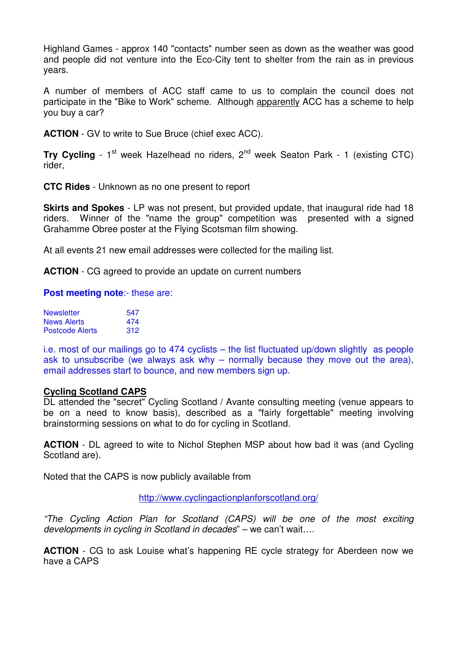Highland Games - approx 140 "contacts" number seen as down as the weather was good and people did not venture into the Eco-City tent to shelter from the rain as in previous years.

A number of members of ACC staff came to us to complain the council does not participate in the "Bike to Work" scheme. Although apparently ACC has a scheme to help you buy a car?

**ACTION** - GV to write to Sue Bruce (chief exec ACC).

**Try Cycling** - 1<sup>st</sup> week Hazelhead no riders, 2<sup>nd</sup> week Seaton Park - 1 (existing CTC) rider,

**CTC Rides** - Unknown as no one present to report

**Skirts and Spokes** - LP was not present, but provided update, that inaugural ride had 18 riders. Winner of the "name the group" competition was presented with a signed Grahamme Obree poster at the Flying Scotsman film showing.

At all events 21 new email addresses were collected for the mailing list.

**ACTION** - CG agreed to provide an update on current numbers

#### **Post meeting note:**- these are:

| <b>Newsletter</b>      | 547 |
|------------------------|-----|
| <b>News Alerts</b>     | 474 |
| <b>Postcode Alerts</b> | 312 |

i.e. most of our mailings go to 474 cyclists – the list fluctuated up/down slightly as people ask to unsubscribe (we always ask why – normally because they move out the area), email addresses start to bounce, and new members sign up.

#### **Cycling Scotland CAPS**

DL attended the "secret" Cycling Scotland / Avante consulting meeting (venue appears to be on a need to know basis), described as a "fairly forgettable" meeting involving brainstorming sessions on what to do for cycling in Scotland.

**ACTION** - DL agreed to wite to Nichol Stephen MSP about how bad it was (and Cycling Scotland are).

Noted that the CAPS is now publicly available from

http://www.cyclingactionplanforscotland.org/

"The Cycling Action Plan for Scotland (CAPS) will be one of the most exciting developments in cycling in Scotland in decades" – we can't wait….

**ACTION** - CG to ask Louise what's happening RE cycle strategy for Aberdeen now we have a CAPS